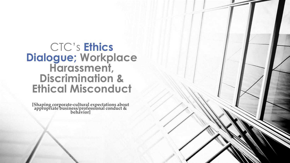# CTC's **Ethics Dialogue; Workplace Harassment, Discrimination & Ethical Misconduct**

**[Shaping corporate-cultural expectations about appropriate business/professional conduct & behavior]**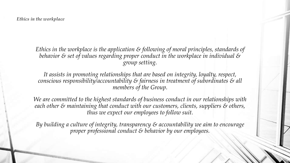*Ethics in the workplace is the application & following of moral principles, standards of behavior & set of values regarding proper conduct in the workplace in individual & group setting.* 

*It assists in promoting relationships that are based on integrity, loyalty, respect, conscious responsibility/accountability & fairness in treatment of subordinates & all members of the Group.* 

*We are committed to the highest standards of business conduct in our relationships with each other & maintaining that conduct with our customers, clients, suppliers & others, thus we expect our employees to follow suit.* 

*By building a culture of integrity, transparency & accountability we aim to encourage proper professional conduct & behavior by our employees.*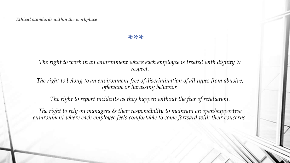*Ethical standards within the workplace* 

### **\*\*\***

*The right to work in an environment where each employee is treated with dignity & respect.* 

*The right to belong to an environment free of discrimination of all types from abusive, offensive or harassing behavior.* 

*The right to report incidents as they happen without the fear of retaliation.*

*The right to rely on managers & their responsibility to maintain an open/supportive environment where each employee feels comfortable to come forward with their concerns.*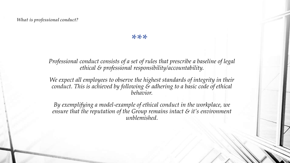*What is professional conduct?*

### **\*\*\***

*Professional conduct consists of a set of rules that prescribe a baseline of legal ethical & professional responsibility/accountability.* 

We expect all employees to observe the highest standards of integrity in their *conduct. This is achieved by following & adhering to a basic code of ethical behavior.* 

*By exemplifying a model-example of ethical conduct in the workplace, we ensure that the reputation of the Group remains intact & it's environment unblemished.*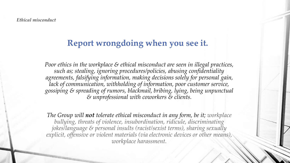## **Report wrongdoing when you see it.**

*Poor ethics in the workplace & ethical misconduct are seen in illegal practices, such as; stealing, ignoring procedures/policies, abusing confidentiality agreements, falsifying information, making decisions solely for personal gain,*  lack of communication, withholding of information, poor customer service, *gossiping & spreading of rumors, blackmail, bribing, lying, being unpunctual & unprofessional with coworkers & clients.*

*The Group will not tolerate ethical misconduct in any form, be it; workplace bullying, threats of violence, insubordination, ridicule, discriminating jokes/language & personal insults (racist/sexist terms), sharing sexually explicit, offensive or violent materials (via electronic devices or other means), workplace harassment.*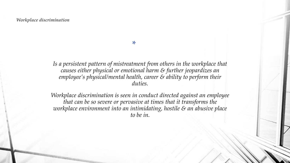#### *Workplace discrimination*

**\***

*Is a persistent pattern of mistreatment from others in the workplace that causes either physical or emotional harm & further jeopardizes an employee's physical/mental health, career & ability to perform their duties.* 

*Workplace discrimination is seen in conduct directed against an employee that can be so severe or pervasive at times that it transforms the workplace environment into an intimidating, hostile & an abusive place to be in.*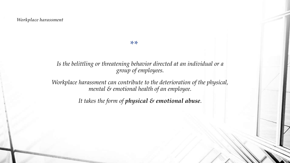*Workplace harassment*

**\*\***

## *Is the belittling or threatening behavior directed at an individual or a group of employees.*

*Workplace harassment can contribute to the deterioration of the physical, mental & emotional health of an employee.* 

*It takes the form of physical & emotional abuse.*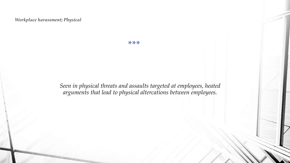*Workplace harassment; Physical*

**\*\*\***

*Seen in physical threats and assaults targeted at employees, heated arguments that lead to physical altercations between employees.*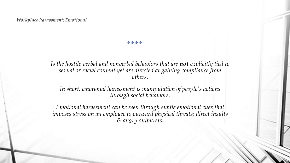#### **\*\*\*\***

*Is the hostile verbal and nonverbal behaviors that are not explicitly tied to sexual or racial content yet are directed at gaining compliance from others.* 

*In short, emotional harassment is manipulation of people's actions through social behaviors.* 

*Emotional harassment can be seen through subtle emotional cues that imposes stress on an employee to outward physical threats; direct insults & angry outbursts.*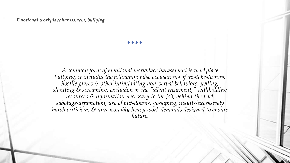*Emotional workplace harassment; bullying*

#### **\*\*\*\***

*A common form of emotional workplace harassment is workplace bullying, it includes the following: false accusations of mistakes/errors, hostile glares & other intimidating non-verbal behaviors, yelling, shouting & screaming, exclusion or the "silent treatment," withholding resources & information necessary to the job, behind-the-back sabotage/defamation, use of put-downs, gossiping, insults/excessively harsh criticism, & unreasonably heavy work demands designed to ensure failure.*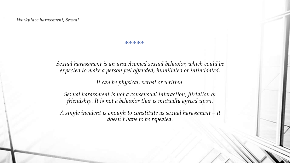#### **\*\*\*\*\***

*Sexual harassment is an unwelcomed sexual behavior, which could be expected to make a person feel offended, humiliated or intimidated.* 

*It can be physical, verbal or written.*

*Sexual harassment is not a consensual interaction, flirtation or friendship. It is not a behavior that is mutually agreed upon.*

*A single incident is enough to constitute as sexual harassment – it doesn't have to be repeated.*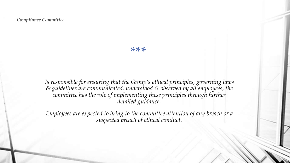#### *Compliance Committee*

#### **\*\*\***

*Is responsible for ensuring that the Group's ethical principles, governing laws & guidelines are communicated, understood & observed by all employees, the*  committee has the role of implementing these principles through further *detailed guidance.* 

*Employees are expected to bring to the committee attention of any breach or a suspected breach of ethical conduct.*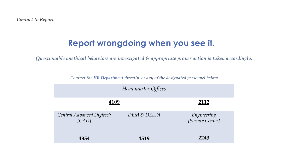# **Report wrongdoing when you see it.**

*Questionable unethical behaviors are investigated & appropriate proper action is taken accordingly.* 

|  | Contact the HR Department directly, or any of the designated personnel below |
|--|------------------------------------------------------------------------------|
|--|------------------------------------------------------------------------------|

| Headquarter Offices                |             |                                 |
|------------------------------------|-------------|---------------------------------|
| 4109                               |             | 2112                            |
| Central Advanced Digitech<br>[CAD] | DEM & DELTA | Engineering<br>[Service Center] |
|                                    | 4519        | 2243                            |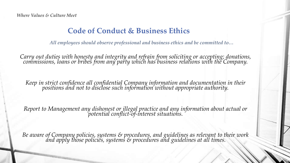## **Code of Conduct & Business Ethics**

*All employees should observe professional and business ethics and be committed to…* 

*Carry out duties with honesty and integrity and refrain from soliciting or accepting; donations, commissions, loans or bribes from any party which has business relations with the Company.*

*Keep in strict confidence all confidential Company information and documentation in their positions and not to disclose such information without appropriate authority.*

*Report to Management any dishonest or illegal practice and any information about actual or potential conflict-of-interest situations.* 

*Be aware of Company policies, systems & procedures, and guidelines as relevant to their work and apply those policies, systems & procedures and guidelines at all times.*